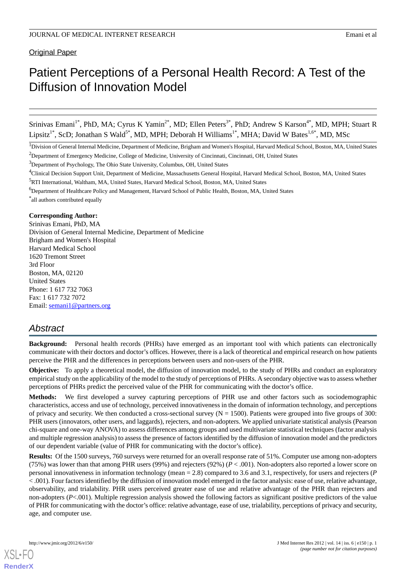**Original Paper** 

# Patient Perceptions of a Personal Health Record: A Test of the Diffusion of Innovation Model

Srinivas Emani<sup>1\*</sup>, PhD, MA; Cyrus K Yamin<sup>2\*</sup>, MD; Ellen Peters<sup>3\*</sup>, PhD; Andrew S Karson<sup>4\*</sup>, MD, MPH; Stuart R Lipsitz<sup>1\*</sup>, ScD; Jonathan S Wald<sup>5\*</sup>, MD, MPH; Deborah H Williams<sup>1\*</sup>, MHA; David W Bates<sup>1,6\*</sup>, MD, MSc

<sup>1</sup>Division of General Internal Medicine, Department of Medicine, Brigham and Women's Hospital, Harvard Medical School, Boston, MA, United States

 $3D$  Department of Psychology, The Ohio State University, Columbus, OH, United States

<sup>4</sup>Clinical Decision Support Unit, Department of Medicine, Massachusetts General Hospital, Harvard Medical School, Boston, MA, United States

<sup>6</sup>Department of Healthcare Policy and Management, Harvard School of Public Health, Boston, MA, United States

\* all authors contributed equally

## **Corresponding Author:**

Srinivas Emani, PhD, MA Division of General Internal Medicine, Department of Medicine Brigham and Women's Hospital Harvard Medical School 1620 Tremont Street 3rd Floor Boston, MA, 02120 United States Phone: 1 617 732 7063 Fax: 1 617 732 7072 Email: [semani1@partners.org](mailto:semani1@partners.org)

## *Abstract*

**Background:** Personal health records (PHRs) have emerged as an important tool with which patients can electronically communicate with their doctors and doctor's offices. However, there is a lack of theoretical and empirical research on how patients perceive the PHR and the differences in perceptions between users and non-users of the PHR.

**Objective:** To apply a theoretical model, the diffusion of innovation model, to the study of PHRs and conduct an exploratory empirical study on the applicability of the model to the study of perceptions of PHRs. A secondary objective was to assess whether perceptions of PHRs predict the perceived value of the PHR for communicating with the doctor's office.

**Methods:** We first developed a survey capturing perceptions of PHR use and other factors such as sociodemographic characteristics, access and use of technology, perceived innovativeness in the domain of information technology, and perceptions of privacy and security. We then conducted a cross-sectional survey  $(N = 1500)$ . Patients were grouped into five groups of 300: PHR users (innovators, other users, and laggards), rejecters, and non-adopters. We applied univariate statistical analysis (Pearson chi-square and one-way ANOVA) to assess differences among groups and used multivariate statistical techniques (factor analysis and multiple regression analysis) to assess the presence of factors identified by the diffusion of innovation model and the predictors of our dependent variable (value of PHR for communicating with the doctor's office).

**Results:** Of the 1500 surveys, 760 surveys were returned for an overall response rate of 51%. Computer use among non-adopters (75%) was lower than that among PHR users (99%) and rejecters (92%) (*P* < .001). Non-adopters also reported a lower score on personal innovativeness in information technology (mean = 2.8) compared to 3.6 and 3.1, respectively, for users and rejecters (*P* < .001). Four factors identified by the diffusion of innovation model emerged in the factor analysis: ease of use, relative advantage, observability, and trialability. PHR users perceived greater ease of use and relative advantage of the PHR than rejecters and non-adopters (*P*<.001). Multiple regression analysis showed the following factors as significant positive predictors of the value of PHR for communicating with the doctor's office: relative advantage, ease of use, trialability, perceptions of privacy and security, age, and computer use.

<sup>&</sup>lt;sup>2</sup>Department of Emergency Medicine, College of Medicine, University of Cincinnati, Cincinnati, OH, United States

<sup>5</sup>RTI International, Waltham, MA, United States, Harvard Medical School, Boston, MA, United States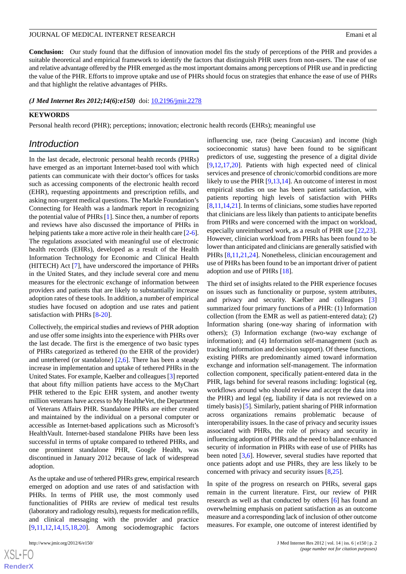**Conclusion:** Our study found that the diffusion of innovation model fits the study of perceptions of the PHR and provides a suitable theoretical and empirical framework to identify the factors that distinguish PHR users from non-users. The ease of use and relative advantage offered by the PHR emerged as the most important domains among perceptions of PHR use and in predicting the value of the PHR. Efforts to improve uptake and use of PHRs should focus on strategies that enhance the ease of use of PHRs and that highlight the relative advantages of PHRs.

#### *(J Med Internet Res 2012;14(6):e150)* doi:  $10.2196/$ jmir.2278

## **KEYWORDS**

Personal health record (PHR); perceptions; innovation; electronic health records (EHRs); meaningful use

## *Introduction*

In the last decade, electronic personal health records (PHRs) have emerged as an important Internet-based tool with which patients can communicate with their doctor's offices for tasks such as accessing components of the electronic health record (EHR), requesting appointments and prescription refills, and asking non-urgent medical questions. The Markle Foundation's Connecting for Health was a landmark report in recognizing the potential value of PHRs [[1\]](#page-12-0). Since then, a number of reports and reviews have also discussed the importance of PHRs in helping patients take a more active role in their health care [[2-](#page-12-1)[6\]](#page-12-2). The regulations associated with meaningful use of electronic health records (EHRs), developed as a result of the Health Information Technology for Economic and Clinical Health (HITECH) Act [[7\]](#page-12-3), have underscored the importance of PHRs in the United States, and they include several core and menu measures for the electronic exchange of information between providers and patients that are likely to substantially increase adoption rates of these tools. In addition, a number of empirical studies have focused on adoption and use rates and patient satisfaction with PHRs [[8](#page-12-4)[-20](#page-13-0)].

Collectively, the empirical studies and reviews of PHR adoption and use offer some insights into the experience with PHRs over the last decade. The first is the emergence of two basic types of PHRs categorized as tethered (to the EHR of the provider) and untethered (or standalone)  $[2,6]$  $[2,6]$ . There has been a steady increase in implementation and uptake of tethered PHRs in the United States. For example, Kaelber and colleagues [[3\]](#page-12-5) reported that about fifty million patients have access to the MyChart PHR tethered to the Epic EHR system, and another twenty million veterans have access to My Health*e*Vet, the Department of Veterans Affairs PHR. Standalone PHRs are either created and maintained by the individual on a personal computer or accessible as Internet-based applications such as Microsoft's HealthVault. Internet-based standalone PHRs have been less successful in terms of uptake compared to tethered PHRs, and one prominent standalone PHR, Google Health, was discontinued in January 2012 because of lack of widespread adoption.

As the uptake and use of tethered PHRs grew, empirical research emerged on adoption and use rates of and satisfaction with PHRs. In terms of PHR use, the most commonly used functionalities of PHRs are review of medical test results (laboratory and radiology results), requests for medication refills, and clinical messaging with the provider and practice [[9](#page-13-1)[,11](#page-13-2),[12](#page-13-3)[,14](#page-13-4),[15](#page-13-5)[,18](#page-13-6),[20\]](#page-13-0). Among sociodemographic factors

influencing use, race (being Caucasian) and income (high socioeconomic status) have been found to be significant predictors of use, suggesting the presence of a digital divide [[9](#page-13-1)[,12](#page-13-3),[17,](#page-13-7)[20\]](#page-13-0). Patients with high expected need of clinical services and presence of chronic/comorbid conditions are more likely to use the PHR [[9](#page-13-1)[,13](#page-13-8),[14\]](#page-13-4). An outcome of interest in most empirical studies on use has been patient satisfaction, with patients reporting high levels of satisfaction with PHRs [[8](#page-12-4)[,11](#page-13-2),[14,](#page-13-4)[21\]](#page-13-9). In terms of clinicians, some studies have reported that clinicians are less likely than patients to anticipate benefits from PHRs and were concerned with the impact on workload, especially unreimbursed work, as a result of PHR use [\[22](#page-13-10),[23\]](#page-13-11). However, clinician workload from PHRs has been found to be lower than anticipated and clinicians are generally satisfied with PHRs [[8](#page-12-4)[,11](#page-13-2),[21](#page-13-9)[,24](#page-13-12)]. Nonetheless, clinician encouragement and use of PHRs has been found to be an important driver of patient adoption and use of PHRs [[18\]](#page-13-6).

The third set of insights related to the PHR experience focuses on issues such as functionality or purpose, system attributes, and privacy and security. Kaelber and colleagues [\[3](#page-12-5)] summarized four primary functions of a PHR: (1) Information collection (from the EMR as well as patient-entered data); (2) Information sharing (one-way sharing of information with others); (3) Information exchange (two-way exchange of information); and (4) Information self-management (such as tracking information and decision support). Of these functions, existing PHRs are predominantly aimed toward information exchange and information self-management. The information collection component, specifically patient-entered data in the PHR, lags behind for several reasons including: logistical (eg, workflows around who should review and accept the data into the PHR) and legal (eg, liability if data is not reviewed on a timely basis) [[5\]](#page-12-6). Similarly, patient sharing of PHR information across organizations remains problematic because of interoperability issues. In the case of privacy and security issues associated with PHRs, the role of privacy and security in influencing adoption of PHRs and the need to balance enhanced security of information in PHRs with ease of use of PHRs has been noted [\[3,](#page-12-5)[6\]](#page-12-2). However, several studies have reported that once patients adopt and use PHRs, they are less likely to be concerned with privacy and security issues [\[8](#page-12-4),[25\]](#page-13-13).

In spite of the progress on research on PHRs, several gaps remain in the current literature. First, our review of PHR research as well as that conducted by others [\[6](#page-12-2)] has found an overwhelming emphasis on patient satisfaction as an outcome measure and a corresponding lack of inclusion of other outcome measures. For example, one outcome of interest identified by

 $XS$ -FO **[RenderX](http://www.renderx.com/)**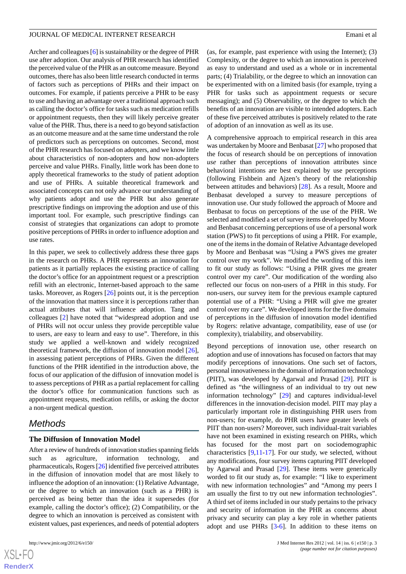Archer and colleagues [[6\]](#page-12-2) is sustainability or the degree of PHR use after adoption. Our analysis of PHR research has identified the perceived value of the PHR as an outcome measure. Beyond outcomes, there has also been little research conducted in terms of factors such as perceptions of PHRs and their impact on outcomes. For example, if patients perceive a PHR to be easy to use and having an advantage over a traditional approach such as calling the doctor's office for tasks such as medication refills or appointment requests, then they will likely perceive greater value of the PHR. Thus, there is a need to go beyond satisfaction as an outcome measure and at the same time understand the role of predictors such as perceptions on outcomes. Second, most of the PHR research has focused on adopters, and we know little about characteristics of non-adopters and how non-adopters perceive and value PHRs. Finally, little work has been done to apply theoretical frameworks to the study of patient adoption and use of PHRs. A suitable theoretical framework and associated concepts can not only advance our understanding of why patients adopt and use the PHR but also generate prescriptive findings on improving the adoption and use of this important tool. For example, such prescriptive findings can consist of strategies that organizations can adopt to promote positive perceptions of PHRs in order to influence adoption and use rates.

In this paper, we seek to collectively address these three gaps in the research on PHRs. A PHR represents an innovation for patients as it partially replaces the existing practice of calling the doctor's office for an appointment request or a prescription refill with an electronic, Internet-based approach to the same tasks. Moreover, as Rogers [\[26](#page-13-14)] points out, it is the perception of the innovation that matters since it is perceptions rather than actual attributes that will influence adoption. Tang and colleagues [\[2](#page-12-1)] have noted that "widespread adoption and use of PHRs will not occur unless they provide perceptible value to users, are easy to learn and easy to use". Therefore, in this study we applied a well-known and widely recognized theoretical framework, the diffusion of innovation model [[26\]](#page-13-14), in assessing patient perceptions of PHRs. Given the different functions of the PHR identified in the introduction above, the focus of our application of the diffusion of innovation model is to assess perceptions of PHR as a partial replacement for calling the doctor's office for communication functions such as appointment requests, medication refills, or asking the doctor a non-urgent medical question.

## *Methods*

## **The Diffusion of Innovation Model**

After a review of hundreds of innovation studies spanning fields such as agriculture, information technology, and pharmaceuticals, Rogers [\[26](#page-13-14)] identified five perceived attributes in the diffusion of innovation model that are most likely to influence the adoption of an innovation: (1) Relative Advantage, or the degree to which an innovation (such as a PHR) is perceived as being better than the idea it supersedes (for example, calling the doctor's office); (2) Compatibility, or the degree to which an innovation is perceived as consistent with existent values, past experiences, and needs of potential adopters

(as, for example, past experience with using the Internet); (3) Complexity, or the degree to which an innovation is perceived as easy to understand and used as a whole or in incremental parts; (4) Trialability, or the degree to which an innovation can be experimented with on a limited basis (for example, trying a PHR for tasks such as appointment requests or secure messaging); and (5) Observability, or the degree to which the benefits of an innovation are visible to intended adopters. Each of these five perceived attributes is positively related to the rate of adoption of an innovation as well as its use.

A comprehensive approach to empirical research in this area was undertaken by Moore and Benbasat [\[27](#page-13-15)] who proposed that the focus of research should be on perceptions of innovation *use* rather than perceptions of innovation attributes since behavioral intentions are best explained by use perceptions (following Fishbein and Ajzen's theory of the relationship between attitudes and behaviors) [[28\]](#page-13-16). As a result, Moore and Benbasat developed a survey to measure perceptions of innovation use. Our study followed the approach of Moore and Benbasat to focus on perceptions of the use of the PHR. We selected and modified a set of survey items developed by Moore and Benbasat concerning perceptions of use of a personal work station (PWS) to fit perceptions of using a PHR. For example, one of the items in the domain of Relative Advantage developed by Moore and Benbasat was "Using a PWS gives me greater control over my work". We modified the wording of this item to fit our study as follows: "Using a PHR gives me greater control over my care". Our modification of the wording also reflected our focus on non-users of a PHR in this study. For non-users, our survey item for the previous example captured potential use of a PHR: "Using a PHR will give me greater control over my care". We developed items for the five domains of perceptions in the diffusion of innovation model identified by Rogers: relative advantage, compatibility, ease of use (or complexity), trialability, and observability.

Beyond perceptions of innovation use, other research on adoption and use of innovations has focused on factors that may modify perceptions of innovations. One such set of factors, personal innovativeness in the domain of information technology (PIIT), was developed by Agarwal and Prasad [[29\]](#page-13-17). PIIT is defined as "the willingness of an individual to try out new information technology" [\[29](#page-13-17)] and captures individual-level differences in the innovation-decision model. PIIT may play a particularly important role in distinguishing PHR users from non-users; for example, do PHR users have greater levels of PIIT than non-users? Moreover, such individual-trait variables have not been examined in existing research on PHRs, which has focused for the most part on sociodemographic characteristics [[9,](#page-13-1)[11](#page-13-2)[-17](#page-13-7)]. For our study, we selected, without any modifications, four survey items capturing PIIT developed by Agarwal and Prasad [[29\]](#page-13-17). These items were generically worded to fit our study as, for example: "I like to experiment with new information technologies" and "Among my peers I am usually the first to try out new information technologies". A third set of items included in our study pertains to the privacy and security of information in the PHR as concerns about privacy and security can play a key role in whether patients adopt and use PHRs [\[3](#page-12-5)-[6](#page-12-2)]. In addition to these items on

 $XS$ -FO **[RenderX](http://www.renderx.com/)**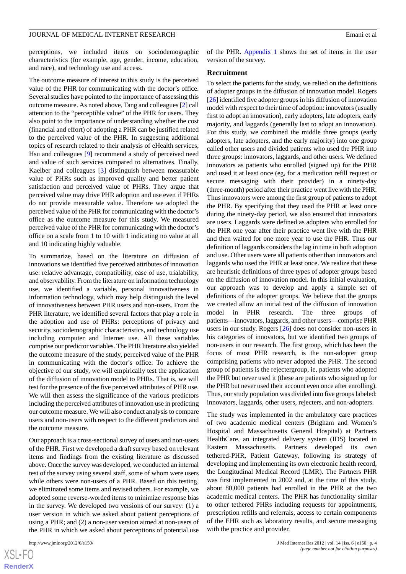perceptions, we included items on sociodemographic characteristics (for example, age, gender, income, education, and race), and technology use and access.

The outcome measure of interest in this study is the perceived value of the PHR for communicating with the doctor's office. Several studies have pointed to the importance of assessing this outcome measure. As noted above, Tang and colleagues [[2\]](#page-12-1) call attention to the "perceptible value" of the PHR for users. They also point to the importance of understanding whether the cost (financial and effort) of adopting a PHR can be justified related to the perceived value of the PHR. In suggesting additional topics of research related to their analysis of eHealth services, Hsu and colleagues [\[9](#page-13-1)] recommend a study of perceived need and value of such services compared to alternatives. Finally, Kaelber and colleagues [\[3](#page-12-5)] distinguish between measurable value of PHRs such as improved quality and better patient satisfaction and perceived value of PHRs. They argue that perceived value may drive PHR adoption and use even if PHRs do not provide measurable value. Therefore we adopted the perceived value of the PHR for communicating with the doctor's office as the outcome measure for this study. We measured perceived value of the PHR for communicating with the doctor's office on a scale from 1 to 10 with 1 indicating no value at all and 10 indicating highly valuable.

To summarize, based on the literature on diffusion of innovations we identified five perceived attributes of innovation use: relative advantage, compatibility, ease of use, trialability, and observability. From the literature on information technology use, we identified a variable, personal innovativeness in information technology, which may help distinguish the level of innovativeness between PHR users and non-users. From the PHR literature, we identified several factors that play a role in the adoption and use of PHRs: perceptions of privacy and security, sociodemographic characteristics, and technology use including computer and Internet use. All these variables comprise our predictor variables. The PHR literature also yielded the outcome measure of the study, perceived value of the PHR in communicating with the doctor's office. To achieve the objective of our study, we will empirically test the application of the diffusion of innovation model to PHRs. That is, we will test for the presence of the five perceived attributes of PHR use. We will then assess the significance of the various predictors including the perceived attributes of innovation use in predicting our outcome measure. We will also conduct analysis to compare users and non-users with respect to the different predictors and the outcome measure.

Our approach is a cross-sectional survey of users and non-users of the PHR. First we developed a draft survey based on relevant items and findings from the existing literature as discussed above. Once the survey was developed, we conducted an internal test of the survey using several staff, some of whom were users while others were non-users of a PHR. Based on this testing, we eliminated some items and revised others. For example, we adopted some reverse-worded items to minimize response bias in the survey. We developed two versions of our survey: (1) a user version in which we asked about patient perceptions of using a PHR; and (2) a non-user version aimed at non-users of the PHR in which we asked about perceptions of potential use

of the PHR. [Appendix 1](#page-12-7) shows the set of items in the user version of the survey.

#### **Recruitment**

To select the patients for the study, we relied on the definitions of adopter groups in the diffusion of innovation model. Rogers [[26\]](#page-13-14) identified five adopter groups in his diffusion of innovation model with respect to their time of adoption: innovators (usually first to adopt an innovation), early adopters, late adopters, early majority, and laggards (generally last to adopt an innovation). For this study, we combined the middle three groups (early adopters, late adopters, and the early majority) into one group called other users and divided patients who used the PHR into three groups: innovators, laggards, and other users. We defined innovators as patients who enrolled (signed up) for the PHR and used it at least once (eg, for a medication refill request or secure messaging with their provider) in a ninety-day (three-month) period after their practice went live with the PHR. Thus innovators were among the first group of patients to adopt the PHR. By specifying that they used the PHR at least once during the ninety-day period, we also ensured that innovators are users. Laggards were defined as adopters who enrolled for the PHR one year after their practice went live with the PHR and then waited for one more year to use the PHR. Thus our definition of laggards considers the lag in time in both adoption and use. Other users were all patients other than innovators and laggards who used the PHR at least once. We realize that these are heuristic definitions of three types of adopter groups based on the diffusion of innovation model. In this initial evaluation, our approach was to develop and apply a simple set of definitions of the adopter groups. We believe that the groups we created allow an initial test of the diffusion of innovation model in PHR research. The three groups of patients—innovators, laggards, and other users—comprise PHR users in our study. Rogers [\[26](#page-13-14)] does not consider non-users in his categories of innovators, but we identified two groups of non-users in our research. The first group, which has been the focus of most PHR research, is the non-adopter group comprising patients who never adopted the PHR. The second group of patients is the rejectergroup, ie, patients who adopted the PHR but never used it (these are patients who signed up for the PHR but never used their account even once after enrolling). Thus, our study population was divided into five groups labeled: innovators, laggards, other users, rejecters, and non-adopters.

The study was implemented in the ambulatory care practices of two academic medical centers (Brigham and Women's Hospital and Massachusetts General Hospital) at Partners HealthCare, an integrated delivery system (IDS) located in Eastern Massachusetts. Partners developed its own tethered-PHR, Patient Gateway, following its strategy of developing and implementing its own electronic health record, the Longitudinal Medical Record (LMR). The Partners PHR was first implemented in 2002 and, at the time of this study, about 80,000 patients had enrolled in the PHR at the two academic medical centers. The PHR has functionality similar to other tethered PHRs including requests for appointments, prescription refills and referrals, access to certain components of the EHR such as laboratory results, and secure messaging with the practice and provider.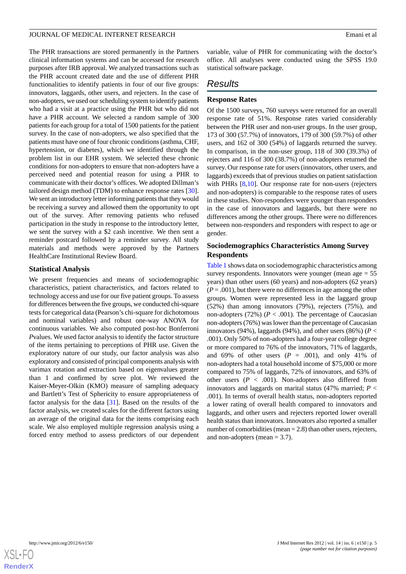The PHR transactions are stored permanently in the Partners clinical information systems and can be accessed for research purposes after IRB approval. We analyzed transactions such as the PHR account created date and the use of different PHR functionalities to identify patients in four of our five groups: innovators, laggards, other users, and rejecters. In the case of non-adopters, we used our scheduling system to identify patients who had a visit at a practice using the PHR but who did not have a PHR account. We selected a random sample of 300 patients for each group for a total of 1500 patients for the patient survey. In the case of non-adopters, we also specified that the patients must have one of four chronic conditions (asthma, CHF, hypertension, or diabetes), which we identified through the problem list in our EHR system. We selected these chronic conditions for non-adopters to ensure that non-adopters have a perceived need and potential reason for using a PHR to communicate with their doctor's offices. We adopted Dillman's tailored design method (TDM) to enhance response rates [[30\]](#page-13-18). We sent an introductory letter informing patients that they would be receiving a survey and allowed them the opportunity to opt out of the survey. After removing patients who refused participation in the study in response to the introductory letter, we sent the survey with a \$2 cash incentive. We then sent a reminder postcard followed by a reminder survey. All study materials and methods were approved by the Partners HealthCare Institutional Review Board.

## **Statistical Analysis**

We present frequencies and means of sociodemographic characteristics, patient characteristics, and factors related to technology access and use for our five patient groups. To assess for differences between the five groups, we conducted chi-square tests for categorical data (Pearson's chi-square for dichotomous and nominal variables) and robust one-way ANOVA for continuous variables. We also computed post-hoc Bonferroni *P*values. We used factor analysis to identify the factor structure of the items pertaining to perceptions of PHR use. Given the exploratory nature of our study, our factor analysis was also exploratory and consisted of principal components analysis with varimax rotation and extraction based on eigenvalues greater than 1 and confirmed by scree plot. We reviewed the Kaiser-Meyer-Olkin (KMO) measure of sampling adequacy and Bartlett's Test of Sphericity to ensure appropriateness of factor analysis for the data [\[31](#page-13-19)]. Based on the results of the factor analysis, we created scales for the different factors using an average of the original data for the items comprising each scale. We also employed multiple regression analysis using a forced entry method to assess predictors of our dependent

variable, value of PHR for communicating with the doctor's office. All analyses were conducted using the SPSS 19.0 statistical software package.

## *Results*

## **Response Rates**

Of the 1500 surveys, 760 surveys were returned for an overall response rate of 51%. Response rates varied considerably between the PHR user and non-user groups. In the user group, 173 of 300 (57.7%) of innovators, 179 of 300 (59.7%) of other users, and 162 of 300 (54%) of laggards returned the survey. In comparison, in the non-user group, 118 of 300 (39.3%) of rejecters and 116 of 300 (38.7%) of non-adopters returned the survey. Our response rate for users (innovators, other users, and laggards) exceeds that of previous studies on patient satisfaction with PHRs [\[8](#page-12-4),[10\]](#page-13-20). Our response rate for non-users (rejecters and non-adopters) is comparable to the response rates of users in these studies. Non-responders were younger than responders in the case of innovators and laggards, but there were no differences among the other groups. There were no differences between non-responders and responders with respect to age or gender.

## **Sociodemographics Characteristics Among Survey Respondents**

[Table 1](#page-5-0) shows data on sociodemographic characteristics among survey respondents. Innovators were younger (mean  $age = 55$ ) years) than other users (60 years) and non-adopters (62 years)  $(P = .001)$ , but there were no differences in age among the other groups. Women were represented less in the laggard group (52%) than among innovators (79%), rejecters (75%), and non-adopters (72%) ( $P < .001$ ). The percentage of Caucasian non-adopters (76%) was lower than the percentage of Caucasian innovators (94%), laggards (94%), and other users (86%) ( $P <$ .001). Only 50% of non-adopters had a four-year college degree or more compared to 76% of the innovators, 71% of laggards, and 69% of other users  $(P = .001)$ , and only 41% of non-adopters had a total household income of \$75,000 or more compared to 75% of laggards, 72% of innovators, and 63% of other users  $(P < .001)$ . Non-adopters also differed from innovators and laggards on marital status (47% married; *P* < .001). In terms of overall health status, non-adopters reported a lower rating of overall health compared to innovators and laggards, and other users and rejecters reported lower overall health status than innovators. Innovators also reported a smaller number of comorbidities (mean = 2.8) than other users, rejecters, and non-adopters (mean  $= 3.7$ ).

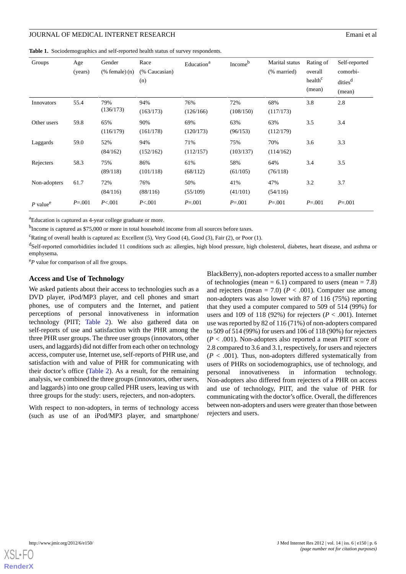#### JOURNAL OF MEDICAL INTERNET RESEARCH EMAN AND THE SEARCH EMAN EMAN EMAN EMAN EMAN EMAN EMAN

<span id="page-5-0"></span>**Table 1.** Sociodemographics and self-reported health status of survey respondents.

| Groups                 | Age<br>(years) | Gender<br>$%$ female $)$ $(n)$ | Race<br>(% Caucasian)<br>(n) | Education <sup>a</sup> | Income <sup>b</sup> | Marital status<br>(% married) | Rating of<br>overall<br>health <sup>c</sup><br>(mean) | Self-reported<br>comorbi-<br>dities <sup>d</sup><br>(mean) |
|------------------------|----------------|--------------------------------|------------------------------|------------------------|---------------------|-------------------------------|-------------------------------------------------------|------------------------------------------------------------|
| Innovators             | 55.4           | 79%<br>(136/173)               | 94%<br>(163/173)             | 76%<br>(126/166)       | 72%<br>(108/150)    | 68%<br>(117/173)              | 3.8                                                   | 2.8                                                        |
| Other users            | 59.8           | 65%<br>(116/179)               | 90%<br>(161/178)             | 69%<br>(120/173)       | 63%<br>(96/153)     | 63%<br>(112/179)              | 3.5                                                   | 3.4                                                        |
| Laggards               | 59.0           | 52%<br>(84/162)                | 94%<br>(152/162)             | 71%<br>(112/157)       | 75%<br>(103/137)    | 70%<br>(114/162)              | 3.6                                                   | 3.3                                                        |
| Rejecters              | 58.3           | 75%<br>(89/118)                | 86%<br>(101/118)             | 61%<br>(68/112)        | 58%<br>(61/105)     | 64%<br>(76/118)               | 3.4                                                   | 3.5                                                        |
| Non-adopters           | 61.7           | 72%<br>(84/116)                | 76%<br>(88/116)              | 50%<br>(55/109)        | 41%<br>(41/101)     | 47%<br>(54/116)               | 3.2                                                   | 3.7                                                        |
| $P$ value <sup>e</sup> | $P = 0.001$    | P < 001                        | P < 001                      | $P = 0.001$            | $P = 0.001$         | $P = 0.001$                   | $P = 0.001$                                           | $P = 0.001$                                                |

<sup>a</sup>Education is captured as 4-year college graduate or more.

<sup>b</sup>Income is captured as \$75,000 or more in total household income from all sources before taxes.

<sup>c</sup>Rating of overall health is captured as: Excellent (5), Very Good (4), Good (3), Fair (2), or Poor (1).

<sup>d</sup>Self-reported comorbidities included 11 conditions such as: allergies, high blood pressure, high cholesterol, diabetes, heart disease, and asthma or emphysema.

<sup>e</sup>P value for comparison of all five groups.

#### **Access and Use of Technology**

We asked patients about their access to technologies such as a DVD player, iPod/MP3 player, and cell phones and smart phones, use of computers and the Internet, and patient perceptions of personal innovativeness in information technology (PIIT; [Table 2\)](#page-6-0). We also gathered data on self-reports of use and satisfaction with the PHR among the three PHR user groups. The three user groups (innovators, other users, and laggards) did not differ from each other on technology access, computer use, Internet use, self-reports of PHR use, and satisfaction with and value of PHR for communicating with their doctor's office ([Table 2](#page-6-0)). As a result, for the remaining analysis, we combined the three groups (innovators, other users, and laggards) into one group called PHR users, leaving us with three groups for the study: users, rejecters, and non-adopters.

With respect to non-adopters, in terms of technology access (such as use of an iPod/MP3 player, and smartphone/ BlackBerry), non-adopters reported access to a smaller number of technologies (mean  $= 6.1$ ) compared to users (mean  $= 7.8$ ) and rejecters (mean = 7.0) ( $P < .001$ ). Computer use among non-adopters was also lower with 87 of 116 (75%) reporting that they used a computer compared to 509 of 514 (99%) for users and 109 of 118 (92%) for rejecters ( $P < .001$ ). Internet use was reported by 82 of 116 (71%) of non-adopters compared to 509 of 514 (99%) for users and 106 of 118 (90%) for rejecters (*P* < .001). Non-adopters also reported a mean PIIT score of 2.8 compared to 3.6 and 3.1, respectively, for users and rejecters  $(P < .001)$ . Thus, non-adopters differed systematically from users of PHRs on sociodemographics, use of technology, and personal innovativeness in information technology. Non-adopters also differed from rejecters of a PHR on access and use of technology, PIIT, and the value of PHR for communicating with the doctor's office. Overall, the differences between non-adopters and users were greater than those between rejecters and users.

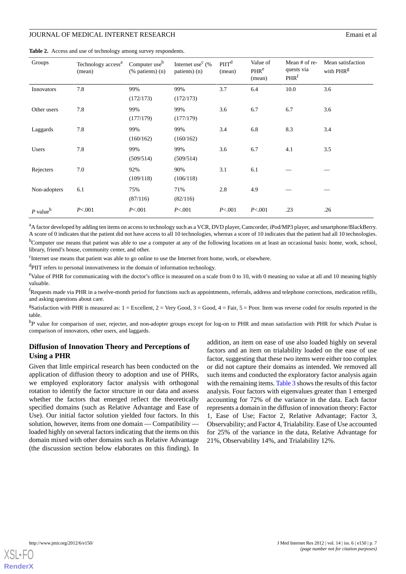<span id="page-6-0"></span>

|  |  |  |  |  |  | Table 2. Access and use of technology among survey respondents. |
|--|--|--|--|--|--|-----------------------------------------------------------------|
|--|--|--|--|--|--|-----------------------------------------------------------------|

| Groups                 | Technology access <sup>a</sup><br>(mean) | Computer use <sup>b</sup><br>$(\%$ patients) $(n)$ | Internet use <sup>c</sup> $(\%$<br>patients) (n) | $P\Pi T^d$<br>(mean) | Value of<br>PHR <sup>e</sup><br>(mean) | Mean # of re-<br>quests via<br>PHR <sup>f</sup> | Mean satisfaction<br>with PHR <sup>g</sup> |
|------------------------|------------------------------------------|----------------------------------------------------|--------------------------------------------------|----------------------|----------------------------------------|-------------------------------------------------|--------------------------------------------|
| Innovators             | 7.8                                      | 99%<br>(172/173)                                   | 99%<br>(172/173)                                 | 3.7                  | 6.4                                    | 10.0                                            | 3.6                                        |
| Other users            | 7.8                                      | 99%<br>(177/179)                                   | 99%<br>(177/179)                                 | 3.6                  | 6.7                                    | 6.7                                             | 3.6                                        |
| Laggards               | 7.8                                      | 99%<br>(160/162)                                   | 99%<br>(160/162)                                 | 3.4                  | 6.8                                    | 8.3                                             | 3.4                                        |
| Users                  | 7.8                                      | 99%<br>(509/514)                                   | 99%<br>(509/514)                                 | 3.6                  | 6.7                                    | 4.1                                             | 3.5                                        |
| Rejecters              | 7.0                                      | 92%<br>(109/118)                                   | 90%<br>(106/118)                                 | 3.1                  | 6.1                                    |                                                 |                                            |
| Non-adopters           | 6.1                                      | 75%<br>(87/116)                                    | 71%<br>(82/116)                                  | 2.8                  | 4.9                                    |                                                 |                                            |
| $P$ value <sup>h</sup> | P < 001                                  | P < 001                                            | P < 001                                          | P < 001              | P < 001                                | .23                                             | .26                                        |

<sup>a</sup>A factor developed by adding ten items on access to technology such as a VCR, DVD player, Camcorder, iPod/MP3 player, and smartphone/BlackBerry. A score of 0 indicates that the patient did not have access to all 10 technologies, whereas a score of 10 indicates that the patient had all 10 technologies.

<sup>b</sup>Computer use means that patient was able to use a computer at any of the following locations on at least an occasional basis: home, work, school, library, friend's house, community center, and other.

c Internet use means that patient was able to go online to use the Internet from home, work, or elsewhere.

<sup>d</sup>PIIT refers to personal innovativeness in the domain of information technology.

<sup>e</sup>Value of PHR for communicating with the doctor's office is measured on a scale from 0 to 10, with 0 meaning no value at all and 10 meaning highly valuable.

<sup>f</sup>Requests made via PHR in a twelve-month period for functions such as appointments, referrals, address and telephone corrections, medication refills, and asking questions about care.

<sup>g</sup>Satisfaction with PHR is measured as:  $1 =$  Excellent,  $2 =$  Very Good,  $3 =$  Good,  $4 =$  Fair,  $5 =$  Poor. Item was reverse coded for results reported in the table.

<sup>h</sup>*P* value for comparison of user, rejecter, and non-adopter groups except for log-on to PHR and mean satisfaction with PHR for which *P*value is comparison of innovators, other users, and laggards.

## **Diffusion of Innovation Theory and Perceptions of Using a PHR**

Given that little empirical research has been conducted on the application of diffusion theory to adoption and use of PHRs, we employed exploratory factor analysis with orthogonal rotation to identify the factor structure in our data and assess whether the factors that emerged reflect the theoretically specified domains (such as Relative Advantage and Ease of Use). Our initial factor solution yielded four factors. In this solution, however, items from one domain — Compatibility loaded highly on several factors indicating that the items on this domain mixed with other domains such as Relative Advantage (the discussion section below elaborates on this finding). In

addition, an item on ease of use also loaded highly on several factors and an item on trialability loaded on the ease of use factor, suggesting that these two items were either too complex or did not capture their domains as intended. We removed all such items and conducted the exploratory factor analysis again with the remaining items. [Table 3](#page-7-0) shows the results of this factor analysis. Four factors with eigenvalues greater than 1 emerged accounting for 72% of the variance in the data. Each factor represents a domain in the diffusion of innovation theory: Factor 1, Ease of Use; Factor 2, Relative Advantage; Factor 3, Observability; and Factor 4, Trialability. Ease of Use accounted for 25% of the variance in the data, Relative Advantage for 21%, Observability 14%, and Trialability 12%.

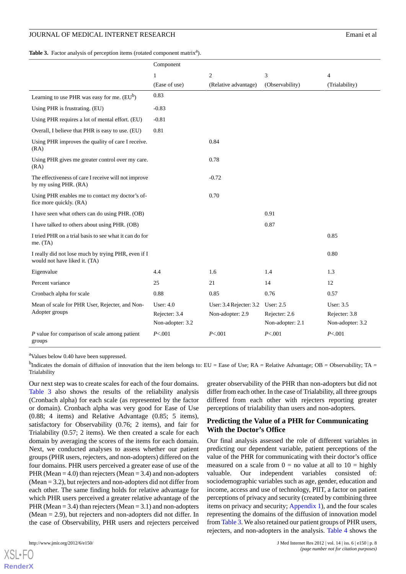### JOURNAL OF MEDICAL INTERNET RESEARCH EMAN AND THE SEARCH EMAN EMAN EMAN EMAN EMAN EMAN EMAN

<span id="page-7-0"></span>Table 3. Factor analysis of perception items (rotated component matrix<sup>a</sup>).

|                                                                                      | Component                                        |                                             |                                                       |                                                       |
|--------------------------------------------------------------------------------------|--------------------------------------------------|---------------------------------------------|-------------------------------------------------------|-------------------------------------------------------|
|                                                                                      | 1                                                | $\overline{c}$                              | 3                                                     | $\overline{4}$                                        |
|                                                                                      | (Ease of use)                                    | (Relative advantage)                        | (Observability)                                       | (Trialability)                                        |
| Learning to use PHR was easy for me. $(EU^b)$                                        | 0.83                                             |                                             |                                                       |                                                       |
| Using PHR is frustrating. (EU)                                                       | $-0.83$                                          |                                             |                                                       |                                                       |
| Using PHR requires a lot of mental effort. (EU)                                      | $-0.81$                                          |                                             |                                                       |                                                       |
| Overall, I believe that PHR is easy to use. (EU)                                     | 0.81                                             |                                             |                                                       |                                                       |
| Using PHR improves the quality of care I receive.<br>(RA)                            |                                                  | 0.84                                        |                                                       |                                                       |
| Using PHR gives me greater control over my care.<br>(RA)                             |                                                  | 0.78                                        |                                                       |                                                       |
| The effectiveness of care I receive will not improve<br>by my using PHR. (RA)        |                                                  | $-0.72$                                     |                                                       |                                                       |
| Using PHR enables me to contact my doctor's of-<br>fice more quickly. (RA)           |                                                  | 0.70                                        |                                                       |                                                       |
| I have seen what others can do using PHR. (OB)                                       |                                                  |                                             | 0.91                                                  |                                                       |
| I have talked to others about using PHR. (OB)                                        |                                                  |                                             | 0.87                                                  |                                                       |
| I tried PHR on a trial basis to see what it can do for<br>me. $(TA)$                 |                                                  |                                             |                                                       | 0.85                                                  |
| I really did not lose much by trying PHR, even if I<br>would not have liked it. (TA) |                                                  |                                             |                                                       | 0.80                                                  |
| Eigenvalue                                                                           | 4.4                                              | 1.6                                         | 1.4                                                   | 1.3                                                   |
| Percent variance                                                                     | 25                                               | 21                                          | 14                                                    | 12                                                    |
| Cronbach alpha for scale                                                             | 0.88                                             | 0.85                                        | 0.76                                                  | 0.57                                                  |
| Mean of scale for PHR User, Rejecter, and Non-<br>Adopter groups                     | User: $4.0$<br>Rejecter: 3.4<br>Non-adopter: 3.2 | User: 3.4 Rejecter: 3.2<br>Non-adopter: 2.9 | <b>User: 2.5</b><br>Rejecter: 2.6<br>Non-adopter: 2.1 | <b>User: 3.5</b><br>Rejecter: 3.8<br>Non-adopter: 3.2 |
| $P$ value for comparison of scale among patient<br>groups                            | P < 001                                          | P < 001                                     | P < 001                                               | P < .001                                              |

<sup>a</sup>Values below 0.40 have been suppressed.

<sup>b</sup>Indicates the domain of diffusion of innovation that the item belongs to: EU = Ease of Use; RA = Relative Advantage; OB = Observability; TA = **Trialability** 

Our next step was to create scales for each of the four domains. [Table 3](#page-7-0) also shows the results of the reliability analysis (Cronbach alpha) for each scale (as represented by the factor or domain). Cronbach alpha was very good for Ease of Use (0.88; 4 items) and Relative Advantage (0.85; 5 items), satisfactory for Observability (0.76; 2 items), and fair for Trialability (0.57; 2 items). We then created a scale for each domain by averaging the scores of the items for each domain. Next, we conducted analyses to assess whether our patient groups (PHR users, rejecters, and non-adopters) differed on the four domains. PHR users perceived a greater ease of use of the PHR (Mean  $= 4.0$ ) than rejecters (Mean  $= 3.4$ ) and non-adopters (Mean = 3.2), but rejecters and non-adopters did not differ from each other. The same finding holds for relative advantage for which PHR users perceived a greater relative advantage of the PHR (Mean  $= 3.4$ ) than rejecters (Mean  $= 3.1$ ) and non-adopters (Mean = 2.9), but rejecters and non-adopters did not differ. In the case of Observability, PHR users and rejecters perceived

[XSL](http://www.w3.org/Style/XSL)•FO **[RenderX](http://www.renderx.com/)**

greater observability of the PHR than non-adopters but did not differ from each other. In the case of Trialability, all three groups differed from each other with rejecters reporting greater perceptions of trialability than users and non-adopters.

## **Predicting the Value of a PHR for Communicating With the Doctor's Office**

Our final analysis assessed the role of different variables in predicting our dependent variable, patient perceptions of the value of the PHR for communicating with their doctor's office measured on a scale from  $0 = no$  value at all to  $10 = h$ ighly valuable. Our independent variables consisted of: sociodemographic variables such as age, gender, education and income, access and use of technology, PIIT, a factor on patient perceptions of privacy and security (created by combining three items on privacy and security; [Appendix 1](#page-12-7)), and the four scales representing the domains of the diffusion of innovation model from [Table 3.](#page-7-0) We also retained our patient groups of PHR users, rejecters, and non-adopters in the analysis. [Table 4](#page-8-0) shows the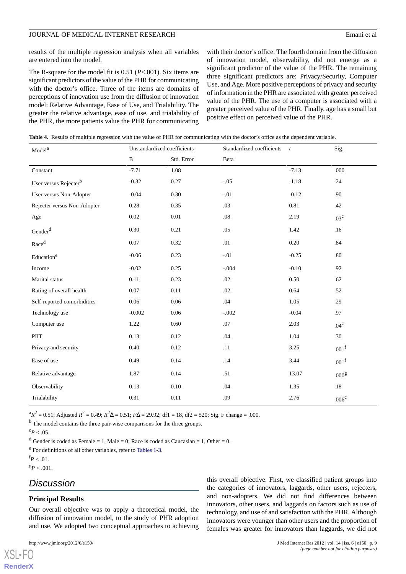results of the multiple regression analysis when all variables are entered into the model.

The R-square for the model fit is 0.51 (*P*<.001). Six items are significant predictors of the value of the PHR for communicating with the doctor's office. Three of the items are domains of perceptions of innovation use from the diffusion of innovation model: Relative Advantage, Ease of Use, and Trialability. The greater the relative advantage, ease of use, and trialability of the PHR, the more patients value the PHR for communicating

with their doctor's office. The fourth domain from the diffusion of innovation model, observability, did not emerge as a significant predictor of the value of the PHR. The remaining three significant predictors are: Privacy/Security, Computer Use, and Age. More positive perceptions of privacy and security of information in the PHR are associated with greater perceived value of the PHR. The use of a computer is associated with a greater perceived value of the PHR. Finally, age has a small but positive effect on perceived value of the PHR.

<span id="page-8-0"></span>**Table 4.** Results of multiple regression with the value of PHR for communicating with the doctor's office as the dependent variable.

| Model <sup>a</sup>                | Unstandardized coefficients |            | Standardized coefficients | $\frac{t}{t}$ | Sig.              |
|-----------------------------------|-----------------------------|------------|---------------------------|---------------|-------------------|
|                                   | $\, {\bf B}$                | Std. Error | Beta                      |               |                   |
| Constant                          | $-7.71$                     | 1.08       |                           | $-7.13$       | .000              |
| User versus Rejecter <sup>b</sup> | $-0.32$                     | 0.27       | $-.05$                    | $-1.18$       | .24               |
| User versus Non-Adopter           | $-0.04$                     | 0.30       | $-.01$                    | $-0.12$       | .90               |
| Rejecter versus Non-Adopter       | 0.28                        | 0.35       | .03                       | 0.81          | .42               |
| Age                               | 0.02                        | $0.01\,$   | .08                       | 2.19          | .03 <sup>c</sup>  |
| Gender $d$                        | 0.30                        | 0.21       | .05                       | 1.42          | .16               |
| Raced                             | 0.07                        | 0.32       | .01                       | 0.20          | .84               |
| Education <sup>e</sup>            | $-0.06$                     | 0.23       | $-.01$                    | $-0.25$       | .80               |
| Income                            | $-0.02$                     | 0.25       | $-.004$                   | $-0.10$       | .92               |
| Marital status                    | 0.11                        | 0.23       | .02                       | 0.50          | .62               |
| Rating of overall health          | 0.07                        | 0.11       | .02                       | 0.64          | .52               |
| Self-reported comorbidities       | 0.06                        | 0.06       | .04                       | 1.05          | .29               |
| Technology use                    | $-0.002$                    | 0.06       | $-.002$                   | $-0.04$       | .97               |
| Computer use                      | 1.22                        | 0.60       | .07                       | 2.03          | .04 <sup>c</sup>  |
| PIIT                              | 0.13                        | 0.12       | .04                       | 1.04          | .30               |
| Privacy and security              | 0.40                        | 0.12       | .11                       | 3.25          | .001 <sup>f</sup> |
| Ease of use                       | 0.49                        | 0.14       | .14                       | 3.44          | .001 <sup>f</sup> |
| Relative advantage                | 1.87                        | 0.14       | .51                       | 13.07         | .000 <sup>g</sup> |
| Observability                     | 0.13                        | 0.10       | .04                       | 1.35          | .18               |
| Trialability                      | 0.31                        | 0.11       | .09                       | 2.76          | $.006^{\rm c}$    |

 ${}^{a}R^{2} = 0.51$ ; Adjusted  $R^{2} = 0.49$ ;  $R^{2}\Delta = 0.51$ ;  $F\Delta = 29.92$ ; df1 = 18, df2 = 520; Sig. F change = .000.

<sup>b</sup> The model contains the three pair-wise comparisons for the three groups.

```
c_{P} < .05.
```
<sup>d</sup> Gender is coded as Female = 1, Male = 0; Race is coded as Caucasian = 1, Other = 0.

<sup>e</sup> For definitions of all other variables, refer to [Tables 1](#page-5-0)[-3](#page-7-0).

 $f_P < .01$ .

 $X$ SL•F $O$ **[RenderX](http://www.renderx.com/)**

 ${}^{g}P$  < .001.

## *Discussion*

## **Principal Results**

Our overall objective was to apply a theoretical model, the diffusion of innovation model, to the study of PHR adoption and use. We adopted two conceptual approaches to achieving

this overall objective. First, we classified patient groups into the categories of innovators, laggards, other users, rejecters, and non-adopters. We did not find differences between innovators, other users, and laggards on factors such as use of technology, and use of and satisfaction with the PHR. Although innovators were younger than other users and the proportion of females was greater for innovators than laggards, we did not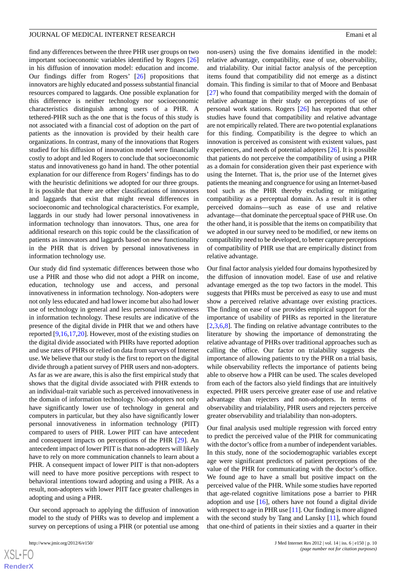find any differences between the three PHR user groups on two important socioeconomic variables identified by Rogers [\[26](#page-13-14)] in his diffusion of innovation model: education and income. Our findings differ from Rogers' [\[26](#page-13-14)] propositions that innovators are highly educated and possess substantial financial resources compared to laggards. One possible explanation for this difference is neither technology nor socioeconomic characteristics distinguish among users of a PHR. A tethered-PHR such as the one that is the focus of this study is not associated with a financial cost of adoption on the part of patients as the innovation is provided by their health care organizations. In contrast, many of the innovations that Rogers studied for his diffusion of innovation model were financially costly to adopt and led Rogers to conclude that socioeconomic status and innovativeness go hand in hand. The other potential explanation for our difference from Rogers' findings has to do with the heuristic definitions we adopted for our three groups. It is possible that there are other classifications of innovators and laggards that exist that might reveal differences in socioeconomic and technological characteristics. For example, laggards in our study had lower personal innovativeness in information technology than innovators. Thus, one area for additional research on this topic could be the classification of patients as innovators and laggards based on new functionality in the PHR that is driven by personal innovativeness in information technology use.

Our study did find systematic differences between those who use a PHR and those who did not adopt a PHR on income, education, technology use and access, and personal innovativeness in information technology. Non-adopters were not only less educated and had lower income but also had lower use of technology in general and less personal innovativeness in information technology. These results are indicative of the presence of the digital divide in PHR that we and others have reported [\[9](#page-13-1),[16](#page-13-21)[,17](#page-13-7),[20\]](#page-13-0). However, most of the existing studies on the digital divide associated with PHRs have reported adoption and use rates of PHRs or relied on data from surveys of Internet use. We believe that our study is the first to report on the digital divide through a patient survey of PHR users and non-adopters. As far as we are aware, this is also the first empirical study that shows that the digital divide associated with PHR extends to an individual-trait variable such as perceived innovativeness in the domain of information technology. Non-adopters not only have significantly lower use of technology in general and computers in particular, but they also have significantly lower personal innovativeness in information technology (PIIT) compared to users of PHR. Lower PIIT can have antecedent and consequent impacts on perceptions of the PHR [\[29](#page-13-17)]. An antecedent impact of lower PIIT is that non-adopters will likely have to rely on more communication channels to learn about a PHR. A consequent impact of lower PIIT is that non-adopters will need to have more positive perceptions with respect to behavioral intentions toward adopting and using a PHR. As a result, non-adopters with lower PIIT face greater challenges in adopting and using a PHR.

Our second approach to applying the diffusion of innovation model to the study of PHRs was to develop and implement a survey on perceptions of using a PHR (or potential use among

non-users) using the five domains identified in the model: relative advantage, compatibility, ease of use, observability, and trialability. Our initial factor analysis of the perception items found that compatibility did not emerge as a distinct domain. This finding is similar to that of Moore and Benbasat [[27\]](#page-13-15) who found that compatibility merged with the domain of relative advantage in their study on perceptions of use of personal work stations. Rogers [[26\]](#page-13-14) has reported that other studies have found that compatibility and relative advantage are not empirically related. There are two potential explanations for this finding. Compatibility is the degree to which an innovation is perceived as consistent with existent values, past experiences, and needs of potential adopters [[26\]](#page-13-14). It is possible that patients do not perceive the compatibility of using a PHR as a domain for consideration given their past experience with using the Internet. That is, the prior use of the Internet gives patients the meaning and congruence for using an Internet-based tool such as the PHR thereby excluding or mitigating compatibility as a perceptual domain. As a result it is other perceived domains—such as ease of use and relative advantage—that dominate the perceptual space of PHR use. On the other hand, it is possible that the items on compatibility that we adopted in our survey need to be modified, or new items on compatibility need to be developed, to better capture perceptions of compatibility of PHR use that are empirically distinct from relative advantage.

Our final factor analysis yielded four domains hypothesized by the diffusion of innovation model. Ease of use and relative advantage emerged as the top two factors in the model. This suggests that PHRs must be perceived as easy to use and must show a perceived relative advantage over existing practices. The finding on ease of use provides empirical support for the importance of usability of PHRs as reported in the literature [[2](#page-12-1)[,3,](#page-12-5)[6,](#page-12-2)[8](#page-12-4)]. The finding on relative advantage contributes to the literature by showing the importance of demonstrating the relative advantage of PHRs over traditional approaches such as calling the office. Our factor on trialability suggests the importance of allowing patients to try the PHR on a trial basis, while observability reflects the importance of patients being able to observe how a PHR can be used. The scales developed from each of the factors also yield findings that are intuitively expected. PHR users perceive greater ease of use and relative advantage than rejecters and non-adopters. In terms of observability and trialability, PHR users and rejecters perceive greater observability and trialability than non-adopters.

Our final analysis used multiple regression with forced entry to predict the perceived value of the PHR for communicating with the doctor's office from a number of independent variables. In this study, none of the sociodemographic variables except age were significant predictors of patient perceptions of the value of the PHR for communicating with the doctor's office. We found age to have a small but positive impact on the perceived value of the PHR. While some studies have reported that age-related cognitive limitations pose a barrier to PHR adoption and use  $[16]$  $[16]$ , others have not found a digital divide with respect to age in PHR use [[11\]](#page-13-2). Our finding is more aligned with the second study by Tang and Lansky [\[11](#page-13-2)], which found that one-third of patients in their sixties and a quarter in their

```
XS-FO
RenderX
```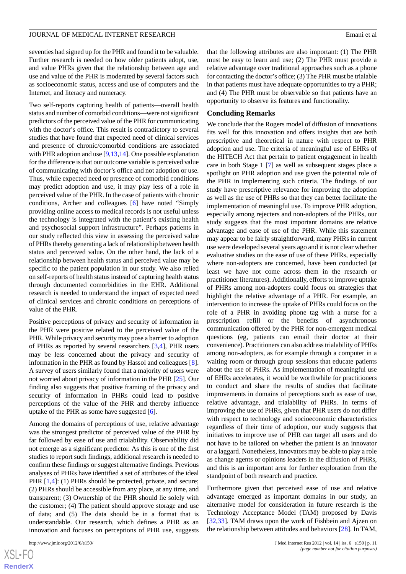seventies had signed up for the PHR and found it to be valuable. Further research is needed on how older patients adopt, use, and value PHRs given that the relationship between age and use and value of the PHR is moderated by several factors such as socioeconomic status, access and use of computers and the Internet, and literacy and numeracy.

Two self-reports capturing health of patients—overall health status and number of comorbid conditions—were not significant predictors of the perceived value of the PHR for communicating with the doctor's office. This result is contradictory to several studies that have found that expected need of clinical services and presence of chronic/comorbid conditions are associated with PHR adoption and use  $[9,13,14]$  $[9,13,14]$  $[9,13,14]$  $[9,13,14]$  $[9,13,14]$ . One possible explanation for the difference is that our outcome variable is perceived value of communicating with doctor's office and not adoption or use. Thus, while expected need or presence of comorbid conditions may predict adoption and use, it may play less of a role in perceived value of the PHR. In the case of patients with chronic conditions, Archer and colleagues [\[6](#page-12-2)] have noted "Simply providing online access to medical records is not useful unless the technology is integrated with the patient's existing health and psychosocial support infrastructure". Perhaps patients in our study reflected this view in assessing the perceived value of PHRs thereby generating a lack of relationship between health status and perceived value. On the other hand, the lack of a relationship between health status and perceived value may be specific to the patient population in our study. We also relied on self-reports of health status instead of capturing health status through documented comorbidities in the EHR. Additional research is needed to understand the impact of expected need of clinical services and chronic conditions on perceptions of value of the PHR.

Positive perceptions of privacy and security of information in the PHR were positive related to the perceived value of the PHR. While privacy and security may pose a barrier to adoption of PHRs as reported by several researchers [\[3](#page-12-5),[4\]](#page-12-8), PHR users may be less concerned about the privacy and security of information in the PHR as found by Hassol and colleagues [[8\]](#page-12-4). A survey of users similarly found that a majority of users were not worried about privacy of information in the PHR [[25\]](#page-13-13). Our finding also suggests that positive framing of the privacy and security of information in PHRs could lead to positive perceptions of the value of the PHR and thereby influence uptake of the PHR as some have suggested [[6\]](#page-12-2).

Among the domains of perceptions of use, relative advantage was the strongest predictor of perceived value of the PHR by far followed by ease of use and trialability. Observability did not emerge as a significant predictor. As this is one of the first studies to report such findings, additional research is needed to confirm these findings or suggest alternative findings. Previous analyses of PHRs have identified a set of attributes of the ideal PHR [\[1](#page-12-0),[4](#page-12-8)]: (1) PHRs should be protected, private, and secure; (2) PHRs should be accessible from any place, at any time, and transparent; (3) Ownership of the PHR should lie solely with the customer; (4) The patient should approve storage and use of data; and (5) The data should be in a format that is understandable. Our research, which defines a PHR as an innovation and focuses on perceptions of PHR use, suggests

that the following attributes are also important: (1) The PHR must be easy to learn and use; (2) The PHR must provide a relative advantage over traditional approaches such as a phone for contacting the doctor's office; (3) The PHR must be trialable in that patients must have adequate opportunities to try a PHR; and (4) The PHR must be observable so that patients have an opportunity to observe its features and functionality.

## **Concluding Remarks**

We conclude that the Rogers model of diffusion of innovations fits well for this innovation and offers insights that are both prescriptive and theoretical in nature with respect to PHR adoption and use. The criteria of meaningful use of EHRs of the HITECH Act that pertain to patient engagement in health care in both Stage 1 [[7\]](#page-12-3) as well as subsequent stages place a spotlight on PHR adoption and use given the potential role of the PHR in implementing such criteria. The findings of our study have prescriptive relevance for improving the adoption as well as the use of PHRs so that they can better facilitate the implementation of meaningful use. To improve PHR adoption, especially among rejecters and non-adopters of the PHRs, our study suggests that the most important domains are relative advantage and ease of use of the PHR. While this statement may appear to be fairly straightforward, many PHRs in current use were developed several years ago and it is not clear whether evaluative studies on the ease of use of these PHRs, especially where non-adopters are concerned, have been conducted (at least we have not come across them in the research or practitioner literatures). Additionally, efforts to improve uptake of PHRs among non-adopters could focus on strategies that highlight the relative advantage of a PHR. For example, an intervention to increase the uptake of PHRs could focus on the role of a PHR in avoiding phone tag with a nurse for a prescription refill or the benefits of asynchronous communication offered by the PHR for non-emergent medical questions (eg, patients can email their doctor at their convenience). Practitioners can also address trialability of PHRs among non-adopters, as for example through a computer in a waiting room or through group sessions that educate patients about the use of PHRs. As implementation of meaningful use of EHRs accelerates, it would be worthwhile for practitioners to conduct and share the results of studies that facilitate improvements in domains of perceptions such as ease of use, relative advantage, and trialability of PHRs. In terms of improving the use of PHRs, given that PHR users do not differ with respect to technology and socioeconomic characteristics regardless of their time of adoption, our study suggests that initiatives to improve use of PHR can target all users and do not have to be tailored on whether the patient is an innovator or a laggard. Nonetheless, innovators may be able to play a role as change agents or opinions leaders in the diffusion of PHRs, and this is an important area for further exploration from the standpoint of both research and practice.

Furthermore given that perceived ease of use and relative advantage emerged as important domains in our study, an alternative model for consideration in future research is the Technology Acceptance Model (TAM) proposed by Davis [[32,](#page-13-22)[33\]](#page-13-23). TAM draws upon the work of Fishbein and Ajzen on the relationship between attitudes and behaviors [\[28](#page-13-16)]. In TAM,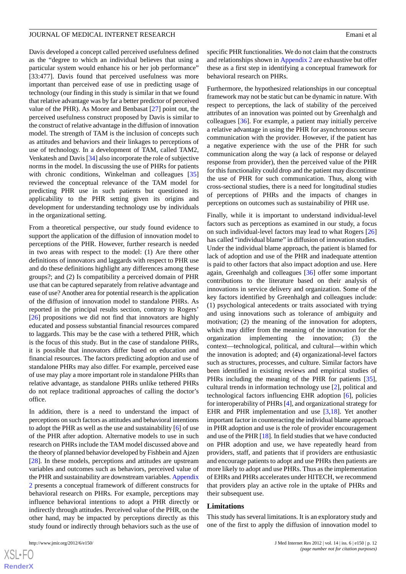Davis developed a concept called perceived usefulness defined as the "degree to which an individual believes that using a particular system would enhance his or her job performance" [33:477]. Davis found that perceived usefulness was more important than perceived ease of use in predicting usage of technology (our finding in this study is similar in that we found that relative advantage was by far a better predictor of perceived value of the PHR). As Moore and Benbasat [\[27](#page-13-15)] point out, the perceived usefulness construct proposed by Davis is similar to the construct of relative advantage in the diffusion of innovation model. The strength of TAM is the inclusion of concepts such as attitudes and behaviors and their linkages to perceptions of use of technology. In a development of TAM, called TAM2, Venkatesh and Davis [[34\]](#page-13-24) also incorporate the role of subjective norms in the model. In discussing the use of PHRs for patients with chronic conditions, Winkelman and colleagues [\[35](#page-14-0)] reviewed the conceptual relevance of the TAM model for predicting PHR use in such patients but questioned its applicability to the PHR setting given its origins and development for understanding technology use by individuals in the organizational setting.

From a theoretical perspective, our study found evidence to support the application of the diffusion of innovation model to perceptions of the PHR. However, further research is needed in two areas with respect to the model: (1) Are there other definitions of innovators and laggards with respect to PHR use and do these definitions highlight any differences among these groups?; and (2) Is compatibility a perceived domain of PHR use that can be captured separately from relative advantage and ease of use? Another area for potential research is the application of the diffusion of innovation model to standalone PHRs. As reported in the principal results section, contrary to Rogers' [[26\]](#page-13-14) propositions we did not find that innovators are highly educated and possess substantial financial resources compared to laggards. This may be the case with a tethered PHR, which is the focus of this study. But in the case of standalone PHRs, it is possible that innovators differ based on education and financial resources. The factors predicting adoption and use of standalone PHRs may also differ. For example, perceived ease of use may play a more important role in standalone PHRs than relative advantage, as standalone PHRs unlike tethered PHRs do not replace traditional approaches of calling the doctor's office.

In addition, there is a need to understand the impact of perceptions on such factors as attitudes and behavioral intentions to adopt the PHR as well as the use and sustainability [[6](#page-12-2)] of use of the PHR after adoption. Alternative models to use in such research on PHRs include the TAM model discussed above and the theory of planned behavior developed by Fishbein and Ajzen [[28\]](#page-13-16). In these models, perceptions and attitudes are upstream variables and outcomes such as behaviors, perceived value of the PHR and sustainability are downstream variables. [Appendix](#page-12-9) [2](#page-12-9) presents a conceptual framework of different constructs for behavioral research on PHRs. For example, perceptions may influence behavioral intentions to adopt a PHR directly or indirectly through attitudes. Perceived value of the PHR, on the other hand, may be impacted by perceptions directly as this study found or indirectly through behaviors such as the use of

 $XS$ -FO **[RenderX](http://www.renderx.com/)** specific PHR functionalities. We do not claim that the constructs and relationships shown in [Appendix 2](#page-12-9) are exhaustive but offer these as a first step in identifying a conceptual framework for behavioral research on PHRs.

Furthermore, the hypothesized relationships in our conceptual framework may not be static but can be dynamic in nature. With respect to perceptions, the lack of stability of the perceived attributes of an innovation was pointed out by Greenhalgh and colleagues [\[36](#page-14-1)]. For example, a patient may initially perceive a relative advantage in using the PHR for asynchronous secure communication with the provider. However, if the patient has a negative experience with the use of the PHR for such communication along the way (a lack of response or delayed response from provider), then the perceived value of the PHR for this functionality could drop and the patient may discontinue the use of PHR for such communication. Thus, along with cross-sectional studies, there is a need for longitudinal studies of perceptions of PHRs and the impacts of changes in perceptions on outcomes such as sustainability of PHR use.

Finally, while it is important to understand individual-level factors such as perceptions as examined in our study, a focus on such individual-level factors may lead to what Rogers [\[26](#page-13-14)] has called "individual blame" in diffusion of innovation studies. Under the individual blame approach, the patient is blamed for lack of adoption and use of the PHR and inadequate attention is paid to other factors that also impact adoption and use. Here again, Greenhalgh and colleagues [\[36](#page-14-1)] offer some important contributions to the literature based on their analysis of innovations in service delivery and organization. Some of the key factors identified by Greenhalgh and colleagues include: (1) psychological antecedents or traits associated with trying and using innovations such as tolerance of ambiguity and motivation; (2) the meaning of the innovation for adopters, which may differ from the meaning of the innovation for the organization implementing the innovation; (3) the context—technological, political, and cultural—within which the innovation is adopted; and (4) organizational-level factors such as structures, processes, and culture. Similar factors have been identified in existing reviews and empirical studies of PHRs including the meaning of the PHR for patients [[35\]](#page-14-0), cultural trends in information technology use [[2\]](#page-12-1), political and technological factors influencing EHR adoption [\[6](#page-12-2)], policies for interoperability of PHRs [[4\]](#page-12-8), and organizational strategy for EHR and PHR implementation and use [\[3](#page-12-5),[18\]](#page-13-6). Yet another important factor in counteracting the individual blame approach in PHR adoption and use is the role of provider encouragement and use of the PHR [\[18\]](#page-13-6). In field studies that we have conducted on PHR adoption and use, we have repeatedly heard from providers, staff, and patients that if providers are enthusiastic and encourage patients to adopt and use PHRs then patients are more likely to adopt and use PHRs. Thus as the implementation of EHRs and PHRs accelerates under HITECH, we recommend that providers play an active role in the uptake of PHRs and their subsequent use.

#### **Limitations**

This study has several limitations. It is an exploratory study and one of the first to apply the diffusion of innovation model to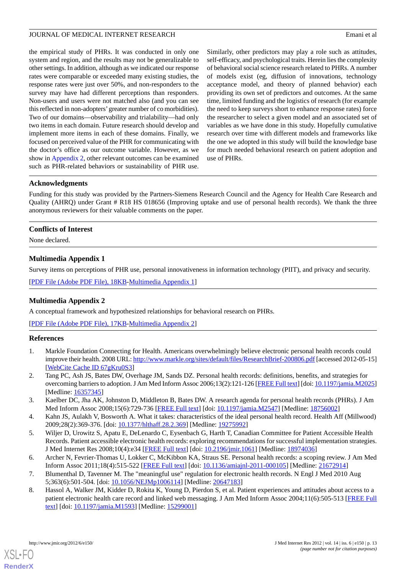the empirical study of PHRs. It was conducted in only one system and region, and the results may not be generalizable to other settings. In addition, although as we indicated our response rates were comparable or exceeded many existing studies, the response rates were just over 50%, and non-responders to the survey may have had different perceptions than responders. Non-users and users were not matched also (and you can see this reflected in non-adopters'greater number of co morbidities). Two of our domains—observability and trialability—had only two items in each domain. Future research should develop and implement more items in each of these domains. Finally, we focused on perceived value of the PHR for communicating with the doctor's office as our outcome variable. However, as we show in [Appendix 2,](#page-12-9) other relevant outcomes can be examined such as PHR-related behaviors or sustainability of PHR use.

Similarly, other predictors may play a role such as attitudes, self-efficacy, and psychological traits. Herein lies the complexity of behavioral social science research related to PHRs. A number of models exist (eg, diffusion of innovations, technology acceptance model, and theory of planned behavior) each providing its own set of predictors and outcomes. At the same time, limited funding and the logistics of research (for example the need to keep surveys short to enhance response rates) force the researcher to select a given model and an associated set of variables as we have done in this study. Hopefully cumulative research over time with different models and frameworks like the one we adopted in this study will build the knowledge base for much needed behavioral research on patient adoption and use of PHRs.

## **Acknowledgments**

Funding for this study was provided by the Partners-Siemens Research Council and the Agency for Health Care Research and Quality (AHRQ) under Grant # R18 HS 018656 (Improving uptake and use of personal health records). We thank the three anonymous reviewers for their valuable comments on the paper.

## <span id="page-12-7"></span>**Conflicts of Interest**

None declared.

## **Multimedia Appendix 1**

<span id="page-12-9"></span>Survey items on perceptions of PHR use, personal innovativeness in information technology (PIIT), and privacy and security.

[[PDF File \(Adobe PDF File\), 18KB-Multimedia Appendix 1](https://jmir.org/api/download?alt_name=jmir_v14i6e150_app1.pdf&filename=dc4b12c6d79086812631e93a1cc8ec37.pdf)]

## **Multimedia Appendix 2**

<span id="page-12-0"></span>A conceptual framework and hypothesized relationships for behavioral research on PHRs.

[[PDF File \(Adobe PDF File\), 17KB-Multimedia Appendix 2](https://jmir.org/api/download?alt_name=jmir_v14i6e150_app2.pdf&filename=dafdc38225d480530bfaa73612835d88.pdf)]

## <span id="page-12-1"></span>**References**

- <span id="page-12-5"></span>1. Markle Foundation Connecting for Health. Americans overwhelmingly believe electronic personal health records could improve their health. 2008 URL:<http://www.markle.org/sites/default/files/ResearchBrief-200806.pdf> [accessed 2012-05-15] [[WebCite Cache ID 67gKru0S3\]](http://www.webcitation.org/

                                                67gKru0S3)
- <span id="page-12-8"></span>2. Tang PC, Ash JS, Bates DW, Overhage JM, Sands DZ. Personal health records: definitions, benefits, and strategies for overcoming barriers to adoption. J Am Med Inform Assoc 2006;13(2):121-126 [[FREE Full text](http://jamia.bmj.com/cgi/pmidlookup?view=long&pmid=16357345)] [doi: [10.1197/jamia.M2025](http://dx.doi.org/10.1197/jamia.M2025)] [Medline: [16357345](http://www.ncbi.nlm.nih.gov/entrez/query.fcgi?cmd=Retrieve&db=PubMed&list_uids=16357345&dopt=Abstract)]
- <span id="page-12-6"></span>3. Kaelber DC, Jha AK, Johnston D, Middleton B, Bates DW. A research agenda for personal health records (PHRs). J Am Med Inform Assoc 2008;15(6):729-736 [[FREE Full text](http://jamia.bmj.com/cgi/pmidlookup?view=long&pmid=18756002)] [doi: [10.1197/jamia.M2547\]](http://dx.doi.org/10.1197/jamia.M2547) [Medline: [18756002](http://www.ncbi.nlm.nih.gov/entrez/query.fcgi?cmd=Retrieve&db=PubMed&list_uids=18756002&dopt=Abstract)]
- <span id="page-12-2"></span>4. Kahn JS, Aulakh V, Bosworth A. What it takes: characteristics of the ideal personal health record. Health Aff (Millwood) 2009;28(2):369-376. [doi: [10.1377/hlthaff.28.2.369\]](http://dx.doi.org/10.1377/hlthaff.28.2.369) [Medline: [19275992](http://www.ncbi.nlm.nih.gov/entrez/query.fcgi?cmd=Retrieve&db=PubMed&list_uids=19275992&dopt=Abstract)]
- <span id="page-12-4"></span><span id="page-12-3"></span>5. Wiljer D, Urowitz S, Apatu E, DeLenardo C, Eysenbach G, Harth T, Canadian Committee for Patient Accessible Health Records. Patient accessible electronic health records: exploring recommendations for successful implementation strategies. J Med Internet Res 2008;10(4):e34 [\[FREE Full text\]](http://www.jmir.org/2008/4/e34/) [doi: [10.2196/jmir.1061\]](http://dx.doi.org/10.2196/jmir.1061) [Medline: [18974036\]](http://www.ncbi.nlm.nih.gov/entrez/query.fcgi?cmd=Retrieve&db=PubMed&list_uids=18974036&dopt=Abstract)
- 6. Archer N, Fevrier-Thomas U, Lokker C, McKibbon KA, Straus SE. Personal health records: a scoping review. J Am Med Inform Assoc 2011;18(4):515-522 [\[FREE Full text](http://jamia.bmj.com/cgi/pmidlookup?view=long&pmid=21672914)] [doi: [10.1136/amiajnl-2011-000105\]](http://dx.doi.org/10.1136/amiajnl-2011-000105) [Medline: [21672914\]](http://www.ncbi.nlm.nih.gov/entrez/query.fcgi?cmd=Retrieve&db=PubMed&list_uids=21672914&dopt=Abstract)
- 7. Blumenthal D, Tavenner M. The "meaningful use" regulation for electronic health records. N Engl J Med 2010 Aug 5;363(6):501-504. [doi: [10.1056/NEJMp1006114\]](http://dx.doi.org/10.1056/NEJMp1006114) [Medline: [20647183\]](http://www.ncbi.nlm.nih.gov/entrez/query.fcgi?cmd=Retrieve&db=PubMed&list_uids=20647183&dopt=Abstract)
- 8. Hassol A, Walker JM, Kidder D, Rokita K, Young D, Pierdon S, et al. Patient experiences and attitudes about access to a patient electronic health care record and linked web messaging. J Am Med Inform Assoc 2004;11(6):505-513 [[FREE Full](http://jamia.bmj.com/cgi/pmidlookup?view=long&pmid=15299001) [text](http://jamia.bmj.com/cgi/pmidlookup?view=long&pmid=15299001)] [doi: [10.1197/jamia.M1593\]](http://dx.doi.org/10.1197/jamia.M1593) [Medline: [15299001](http://www.ncbi.nlm.nih.gov/entrez/query.fcgi?cmd=Retrieve&db=PubMed&list_uids=15299001&dopt=Abstract)]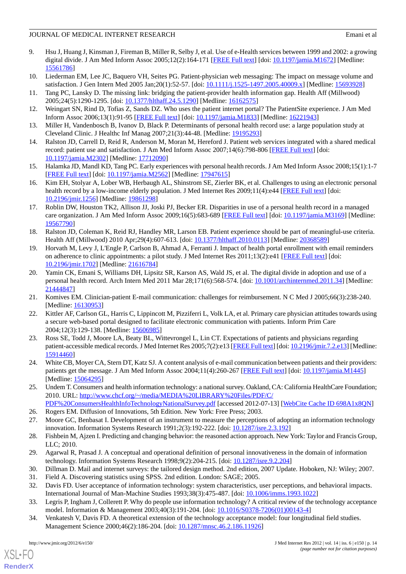- <span id="page-13-1"></span>9. Hsu J, Huang J, Kinsman J, Fireman B, Miller R, Selby J, et al. Use of e-Health services between 1999 and 2002: a growing digital divide. J Am Med Inform Assoc 2005;12(2):164-171 [[FREE Full text](http://jamia.bmj.com/cgi/pmidlookup?view=long&pmid=15561786)] [doi: [10.1197/jamia.M1672](http://dx.doi.org/10.1197/jamia.M1672)] [Medline: [15561786](http://www.ncbi.nlm.nih.gov/entrez/query.fcgi?cmd=Retrieve&db=PubMed&list_uids=15561786&dopt=Abstract)]
- <span id="page-13-20"></span><span id="page-13-2"></span>10. Liederman EM, Lee JC, Baquero VH, Seites PG. Patient-physician web messaging: The impact on message volume and satisfaction. J Gen Intern Med 2005 Jan;20(1):52-57. [doi: [10.1111/j.1525-1497.2005.40009.x\]](http://dx.doi.org/10.1111/j.1525-1497.2005.40009.x) [Medline: [15693928\]](http://www.ncbi.nlm.nih.gov/entrez/query.fcgi?cmd=Retrieve&db=PubMed&list_uids=15693928&dopt=Abstract)
- <span id="page-13-3"></span>11. Tang PC, Lansky D. The missing link: bridging the patient-provider health information gap. Health Aff (Millwood) 2005;24(5):1290-1295. [doi: [10.1377/hlthaff.24.5.1290\]](http://dx.doi.org/10.1377/hlthaff.24.5.1290) [Medline: [16162575](http://www.ncbi.nlm.nih.gov/entrez/query.fcgi?cmd=Retrieve&db=PubMed&list_uids=16162575&dopt=Abstract)]
- <span id="page-13-8"></span>12. Weingart SN, Rind D, Tofias Z, Sands DZ. Who uses the patient internet portal? The PatientSite experience. J Am Med Inform Assoc 2006;13(1):91-95 [\[FREE Full text](http://jamia.bmj.com/cgi/pmidlookup?view=long&pmid=16221943)] [doi: [10.1197/jamia.M1833\]](http://dx.doi.org/10.1197/jamia.M1833) [Medline: [16221943](http://www.ncbi.nlm.nih.gov/entrez/query.fcgi?cmd=Retrieve&db=PubMed&list_uids=16221943&dopt=Abstract)]
- <span id="page-13-4"></span>13. Miller H, Vandenbosch B, Ivanov D, Black P. Determinants of personal health record use: a large population study at Cleveland Clinic. J Healthc Inf Manag 2007;21(3):44-48. [Medline: [19195293](http://www.ncbi.nlm.nih.gov/entrez/query.fcgi?cmd=Retrieve&db=PubMed&list_uids=19195293&dopt=Abstract)]
- <span id="page-13-5"></span>14. Ralston JD, Carrell D, Reid R, Anderson M, Moran M, Hereford J. Patient web services integrated with a shared medical record: patient use and satisfaction. J Am Med Inform Assoc 2007;14(6):798-806 [[FREE Full text](http://jamia.bmj.com/cgi/pmidlookup?view=long&pmid=17712090)] [doi: [10.1197/jamia.M2302](http://dx.doi.org/10.1197/jamia.M2302)] [Medline: [17712090](http://www.ncbi.nlm.nih.gov/entrez/query.fcgi?cmd=Retrieve&db=PubMed&list_uids=17712090&dopt=Abstract)]
- <span id="page-13-21"></span>15. Halamka JD, Mandl KD, Tang PC. Early experiences with personal health records. J Am Med Inform Assoc 2008;15(1):1-7 [[FREE Full text](http://jamia.bmj.com/cgi/pmidlookup?view=long&pmid=17947615)] [doi: [10.1197/jamia.M2562](http://dx.doi.org/10.1197/jamia.M2562)] [Medline: [17947615](http://www.ncbi.nlm.nih.gov/entrez/query.fcgi?cmd=Retrieve&db=PubMed&list_uids=17947615&dopt=Abstract)]
- <span id="page-13-7"></span>16. Kim EH, Stolyar A, Lober WB, Herbaugh AL, Shinstrom SE, Zierler BK, et al. Challenges to using an electronic personal health record by a low-income elderly population. J Med Internet Res 2009;11(4):e44 [[FREE Full text](http://www.jmir.org/2009/4/e44/)] [doi: [10.2196/jmir.1256](http://dx.doi.org/10.2196/jmir.1256)] [Medline: [19861298](http://www.ncbi.nlm.nih.gov/entrez/query.fcgi?cmd=Retrieve&db=PubMed&list_uids=19861298&dopt=Abstract)]
- <span id="page-13-6"></span>17. Roblin DW, Houston TK2, Allison JJ, Joski PJ, Becker ER. Disparities in use of a personal health record in a managed care organization. J Am Med Inform Assoc 2009;16(5):683-689 [[FREE Full text](http://jamia.bmj.com/cgi/pmidlookup?view=long&pmid=19567790)] [doi: [10.1197/jamia.M3169](http://dx.doi.org/10.1197/jamia.M3169)] [Medline: [19567790](http://www.ncbi.nlm.nih.gov/entrez/query.fcgi?cmd=Retrieve&db=PubMed&list_uids=19567790&dopt=Abstract)]
- 18. Ralston JD, Coleman K, Reid RJ, Handley MR, Larson EB. Patient experience should be part of meaningful-use criteria. Health Aff (Millwood) 2010 Apr; 29(4): 607-613. [doi: 10.1377/hlthaff. 2010.0113] [Medline: [20368589\]](http://www.ncbi.nlm.nih.gov/entrez/query.fcgi?cmd=Retrieve&db=PubMed&list_uids=20368589&dopt=Abstract)
- <span id="page-13-0"></span>19. Horvath M, Levy J, L'Engle P, Carlson B, Ahmad A, Ferranti J. Impact of health portal enrollment with email reminders on adherence to clinic appointments: a pilot study. J Med Internet Res 2011;13(2):e41 [[FREE Full text](http://www.jmir.org/2011/2/e41/)] [doi: [10.2196/jmir.1702](http://dx.doi.org/10.2196/jmir.1702)] [Medline: [21616784](http://www.ncbi.nlm.nih.gov/entrez/query.fcgi?cmd=Retrieve&db=PubMed&list_uids=21616784&dopt=Abstract)]
- <span id="page-13-10"></span><span id="page-13-9"></span>20. Yamin CK, Emani S, Williams DH, Lipsitz SR, Karson AS, Wald JS, et al. The digital divide in adoption and use of a personal health record. Arch Intern Med 2011 Mar 28;171(6):568-574. [doi: [10.1001/archinternmed.2011.34\]](http://dx.doi.org/10.1001/archinternmed.2011.34) [Medline: [21444847](http://www.ncbi.nlm.nih.gov/entrez/query.fcgi?cmd=Retrieve&db=PubMed&list_uids=21444847&dopt=Abstract)]
- <span id="page-13-11"></span>21. Komives EM. Clinician-patient E-mail communication: challenges for reimbursement. N C Med J 2005;66(3):238-240. [Medline: [16130953](http://www.ncbi.nlm.nih.gov/entrez/query.fcgi?cmd=Retrieve&db=PubMed&list_uids=16130953&dopt=Abstract)]
- 22. Kittler AF, Carlson GL, Harris C, Lippincott M, Pizziferri L, Volk LA, et al. Primary care physician attitudes towards using a secure web-based portal designed to facilitate electronic communication with patients. Inform Prim Care 2004;12(3):129-138. [Medline: [15606985](http://www.ncbi.nlm.nih.gov/entrez/query.fcgi?cmd=Retrieve&db=PubMed&list_uids=15606985&dopt=Abstract)]
- <span id="page-13-13"></span><span id="page-13-12"></span>23. Ross SE, Todd J, Moore LA, Beaty BL, Wittevrongel L, Lin CT. Expectations of patients and physicians regarding patient-accessible medical records. J Med Internet Res 2005;7(2):e13 [[FREE Full text](http://www.jmir.org/2005/2/e13/)] [doi: [10.2196/jmir.7.2.e13\]](http://dx.doi.org/10.2196/jmir.7.2.e13) [Medline: [15914460](http://www.ncbi.nlm.nih.gov/entrez/query.fcgi?cmd=Retrieve&db=PubMed&list_uids=15914460&dopt=Abstract)]
- <span id="page-13-14"></span>24. White CB, Moyer CA, Stern DT, Katz SJ. A content analysis of e-mail communication between patients and their providers: patients get the message. J Am Med Inform Assoc 2004;11(4):260-267 [[FREE Full text](http://jamia.bmj.com/cgi/pmidlookup?view=long&pmid=15064295)] [doi: [10.1197/jamia.M1445](http://dx.doi.org/10.1197/jamia.M1445)] [Medline: [15064295](http://www.ncbi.nlm.nih.gov/entrez/query.fcgi?cmd=Retrieve&db=PubMed&list_uids=15064295&dopt=Abstract)]
- <span id="page-13-16"></span><span id="page-13-15"></span>25. Undem T. Consumers and health information technology: a national survey. Oakland, CA: California HealthCare Foundation; 2010. URL: [http://www.chcf.org/~/media/MEDIA%20LIBRARY%20Files/PDF/C/](http://www.chcf.org/~/media/MEDIA%20LIBRARY%20Files/PDF/C/PDF%20ConsumersHealthInfoTechnologyNationalSurvey.pdf) [PDF%20ConsumersHealthInfoTechnologyNationalSurvey.pdf](http://www.chcf.org/~/media/MEDIA%20LIBRARY%20Files/PDF/C/PDF%20ConsumersHealthInfoTechnologyNationalSurvey.pdf) [accessed 2012-07-13] [\[WebCite Cache ID 698A1x8QN\]](http://www.webcitation.org/

                                                698A1x8QN)
- <span id="page-13-17"></span>26. Rogers EM. Diffusion of Innovations, 5th Edition. New York: Free Press; 2003.
- <span id="page-13-18"></span>27. Moore GC, Benbasat I. Development of an instrument to measure the perceptions of adopting an information technology innovation. Information Systems Research 1991;2(3):192-222. [doi: [10.1287/isre.2.3.192](http://dx.doi.org/10.1287/isre.2.3.192)]
- <span id="page-13-22"></span><span id="page-13-19"></span>28. Fishbein M, Ajzen I. Predicting and changing behavior: the reasoned action approach. New York: Taylor and Francis Group, LLC; 2010.
- <span id="page-13-23"></span>29. Agarwal R, Prasad J. A conceptual and operational definition of personal innovativeness in the domain of information technology. Information Systems Research 1998;9(2):204-215. [doi: [10.1287/isre.9.2.204\]](http://dx.doi.org/10.1287/isre.9.2.204)
- <span id="page-13-24"></span>30. Dillman D. Mail and internet surveys: the tailored design method. 2nd edition, 2007 Update. Hoboken, NJ: Wiley; 2007.
- 31. Field A. Discovering statistics using SPSS. 2nd edition. London: SAGE; 2005.
- 32. Davis FD. User acceptance of information technology: system characteristics, user perceptions, and behavioral impacts. International Journal of Man-Machine Studies 1993;38(3):475-487. [doi: [10.1006/imms.1993.1022](http://dx.doi.org/10.1006/imms.1993.1022)]
- 33. Legris P, Ingham J, Collerett P. Why do people use information technology? A critical review of the technology acceptance model. Information & Management 2003;40(3):191-204. [doi: [10.1016/S0378-7206\(01\)00143-4\]](http://dx.doi.org/10.1016/S0378-7206(01)00143-4)
- 34. Venkatesh V, Davis FD. A theoretical extension of the technology acceptance model: four longitudinal field studies. Management Science 2000;46(2):186-204. [doi: [10.1287/mnsc.46.2.186.11926](http://dx.doi.org/10.1287/mnsc.46.2.186.11926)]